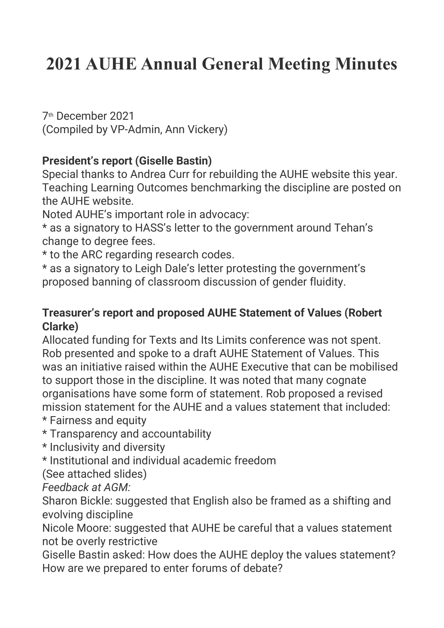# **2021 AUHE Annual General Meeting Minutes**

7th December 2021 (Compiled by VP-Admin, Ann Vickery)

## **President's report (Giselle Bastin)**

Special thanks to Andrea Curr for rebuilding the AUHE website this year. Teaching Learning Outcomes benchmarking the discipline are posted on the AUHE website.

Noted AUHE's important role in advocacy:

\* as a signatory to HASS's letter to the government around Tehan's change to degree fees.

\* to the ARC regarding research codes.

\* as a signatory to Leigh Dale's letter protesting the government's proposed banning of classroom discussion of gender fluidity.

## **Treasurer's report and proposed AUHE Statement of Values (Robert Clarke)**

Allocated funding for Texts and Its Limits conference was not spent. Rob presented and spoke to a draft AUHE Statement of Values. This was an initiative raised within the AUHE Executive that can be mobilised to support those in the discipline. It was noted that many cognate organisations have some form of statement. Rob proposed a revised mission statement for the AUHE and a values statement that included:

\* Fairness and equity

\* Transparency and accountability

\* Inclusivity and diversity

\* Institutional and individual academic freedom

(See attached slides)

*Feedback at AGM:*

Sharon Bickle: suggested that English also be framed as a shifting and evolving discipline

Nicole Moore: suggested that AUHE be careful that a values statement not be overly restrictive

Giselle Bastin asked: How does the AUHE deploy the values statement? How are we prepared to enter forums of debate?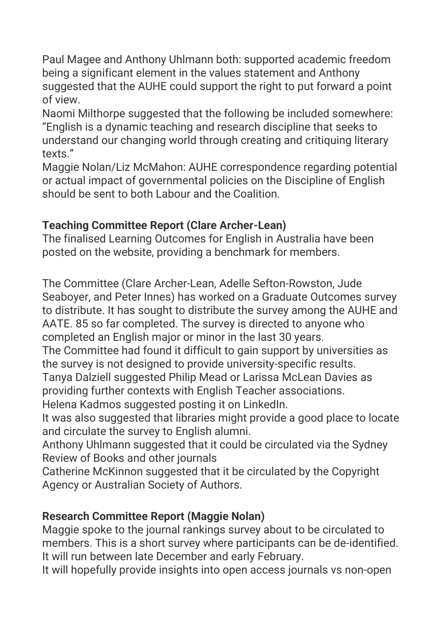Paul Magee and Anthony Uhlmann both: supported academic freedom being a significant element in the values statement and Anthony suggested that the AUHE could support the right to put forward a point of view.

Naomi Milthorpe suggested that the following be included somewhere: "English is a dynamic teaching and research discipline that seeks to understand our changing world through creating and critiquing literary texts."

Maggie Nolan/Liz McMahon: AUHE correspondence regarding potential or actual impact of governmental policies on the Discipline of English should be sent to both Labour and the Coalition.

# **Teaching Committee Report (Clare Archer-Lean)**

The finalised Learning Outcomes for English in Australia have been posted on the website, providing a benchmark for members.

The Committee (Clare Archer-Lean, Adelle Sefton-Rowston, Jude Seaboyer, and Peter Innes) has worked on a Graduate Outcomes survey to distribute. It has sought to distribute the survey among the AUHE and AATE. 85 so far completed. The survey is directed to anyone who completed an English major or minor in the last 30 years.

The Committee had found it difficult to gain support by universities as the survey is not designed to provide university-specific results.

Tanya Dalziell suggested Philip Mead or Larissa McLean Davies as providing further contexts with English Teacher associations.

Helena Kadmos suggested posting it on LinkedIn.

It was also suggested that libraries might provide a good place to locate and circulate the survey to English alumni.

Anthony Uhlmann suggested that it could be circulated via the Sydney Review of Books and other journals

Catherine McKinnon suggested that it be circulated by the Copyright Agency or Australian Society of Authors.

# **Research Committee Report (Maggie Nolan)**

Maggie spoke to the journal rankings survey about to be circulated to members. This is a short survey where participants can be de-identified. It will run between late December and early February.

It will hopefully provide insights into open access journals vs non-open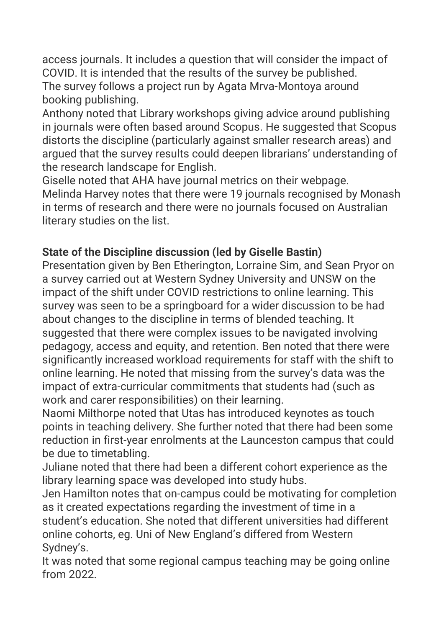access journals. It includes a question that will consider the impact of COVID. It is intended that the results of the survey be published. The survey follows a project run by Agata Mrva-Montoya around booking publishing.

Anthony noted that Library workshops giving advice around publishing in journals were often based around Scopus. He suggested that Scopus distorts the discipline (particularly against smaller research areas) and argued that the survey results could deepen librarians' understanding of the research landscape for English.

Giselle noted that AHA have journal metrics on their webpage. Melinda Harvey notes that there were 19 journals recognised by Monash in terms of research and there were no journals focused on Australian literary studies on the list.

# **State of the Discipline discussion (led by Giselle Bastin)**

Presentation given by Ben Etherington, Lorraine Sim, and Sean Pryor on a survey carried out at Western Sydney University and UNSW on the impact of the shift under COVID restrictions to online learning. This survey was seen to be a springboard for a wider discussion to be had about changes to the discipline in terms of blended teaching. It suggested that there were complex issues to be navigated involving pedagogy, access and equity, and retention. Ben noted that there were significantly increased workload requirements for staff with the shift to online learning. He noted that missing from the survey's data was the impact of extra-curricular commitments that students had (such as work and carer responsibilities) on their learning.

Naomi Milthorpe noted that Utas has introduced keynotes as touch points in teaching delivery. She further noted that there had been some reduction in first-year enrolments at the Launceston campus that could be due to timetabling.

Juliane noted that there had been a different cohort experience as the library learning space was developed into study hubs.

Jen Hamilton notes that on-campus could be motivating for completion as it created expectations regarding the investment of time in a student's education. She noted that different universities had different online cohorts, eg. Uni of New England's differed from Western Sydney's.

It was noted that some regional campus teaching may be going online from 2022.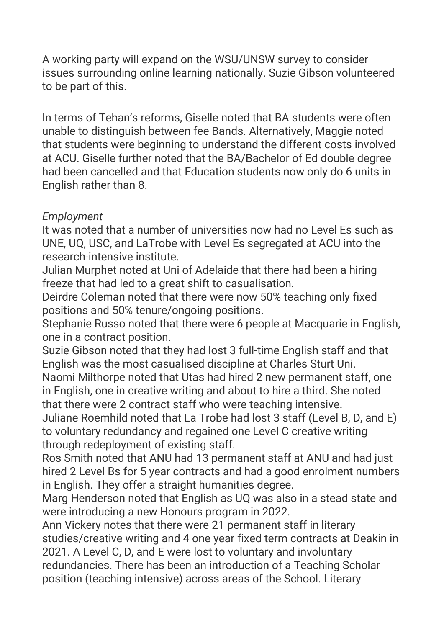A working party will expand on the WSU/UNSW survey to consider issues surrounding online learning nationally. Suzie Gibson volunteered to be part of this.

In terms of Tehan's reforms, Giselle noted that BA students were often unable to distinguish between fee Bands. Alternatively, Maggie noted that students were beginning to understand the different costs involved at ACU. Giselle further noted that the BA/Bachelor of Ed double degree had been cancelled and that Education students now only do 6 units in English rather than 8.

## *Employment*

It was noted that a number of universities now had no Level Es such as UNE, UQ, USC, and LaTrobe with Level Es segregated at ACU into the research-intensive institute.

Julian Murphet noted at Uni of Adelaide that there had been a hiring freeze that had led to a great shift to casualisation.

Deirdre Coleman noted that there were now 50% teaching only fixed positions and 50% tenure/ongoing positions.

Stephanie Russo noted that there were 6 people at Macquarie in English, one in a contract position.

Suzie Gibson noted that they had lost 3 full-time English staff and that English was the most casualised discipline at Charles Sturt Uni.

Naomi Milthorpe noted that Utas had hired 2 new permanent staff, one in English, one in creative writing and about to hire a third. She noted that there were 2 contract staff who were teaching intensive.

Juliane Roemhild noted that La Trobe had lost 3 staff (Level B, D, and E) to voluntary redundancy and regained one Level C creative writing through redeployment of existing staff.

Ros Smith noted that ANU had 13 permanent staff at ANU and had just hired 2 Level Bs for 5 year contracts and had a good enrolment numbers in English. They offer a straight humanities degree.

Marg Henderson noted that English as UQ was also in a stead state and were introducing a new Honours program in 2022.

Ann Vickery notes that there were 21 permanent staff in literary studies/creative writing and 4 one year fixed term contracts at Deakin in 2021. A Level C, D, and E were lost to voluntary and involuntary redundancies. There has been an introduction of a Teaching Scholar position (teaching intensive) across areas of the School. Literary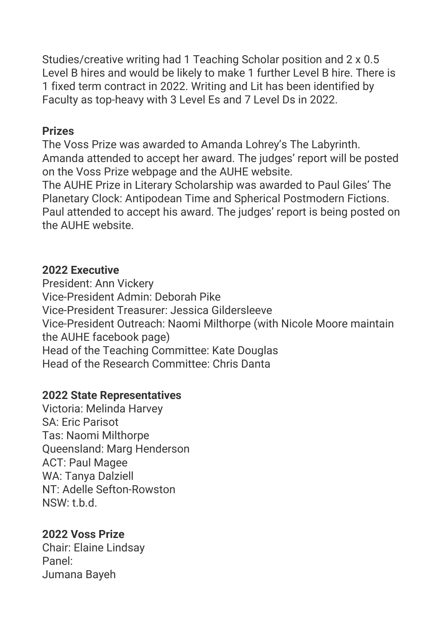Studies/creative writing had 1 Teaching Scholar position and 2 x 0.5 Level B hires and would be likely to make 1 further Level B hire. There is 1 fixed term contract in 2022. Writing and Lit has been identified by Faculty as top-heavy with 3 Level Es and 7 Level Ds in 2022.

#### **Prizes**

The Voss Prize was awarded to Amanda Lohrey's The Labyrinth. Amanda attended to accept her award. The judges' report will be posted on the Voss Prize webpage and the AUHE website.

The AUHE Prize in Literary Scholarship was awarded to Paul Giles' The Planetary Clock: Antipodean Time and Spherical Postmodern Fictions. Paul attended to accept his award. The judges' report is being posted on the AUHE website.

#### **2022 Executive**

President: Ann Vickery Vice-President Admin: Deborah Pike Vice-President Treasurer: Jessica Gildersleeve Vice-President Outreach: Naomi Milthorpe (with Nicole Moore maintain the AUHE facebook page) Head of the Teaching Committee: Kate Douglas Head of the Research Committee: Chris Danta

## **2022 State Representatives**

Victoria: Melinda Harvey SA: Eric Parisot Tas: Naomi Milthorpe Queensland: Marg Henderson ACT: Paul Magee WA: Tanya Dalziell NT: Adelle Sefton-Rowston  $NSW: H.d.$ 

## **2022 Voss Prize**

Chair: Elaine Lindsay Panel: Jumana Bayeh